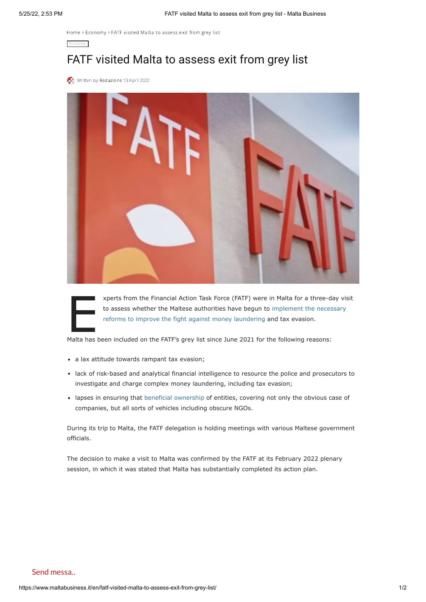[Home](https://www.maltabusiness.it/) > [Economy](https://www.maltabusiness.it/en/category/economy-en/) > FATF visited Malta to assess exit from grey list

## FATF visited Malta to assess exit from grey list

[W](https://www.maltabusiness.it/en/author/redazione/)ritten by [Redazione](https://www.maltabusiness.it/en/author/redazione/) 13 April 2022

[Economy](https://www.maltabusiness.it/en/category/economy-en/)



xperts from the Financial Action Task Force (FATF) were in Malta for a three-do<br>to assess whether the Maltese authorities have begun to implement the neces<br>reforms to improve the fight against money laundering and tax evas xperts from the Financial Action Task Force (FATF) were in Malta for a three-day visit [to assess whether the Maltese authorities have begun to implement the necessary](https://www.maltabusiness.it/en/malta-registers-progress-to-be-removed-from-the-grey-list-by-fatf/) reforms to improve the fight against money laundering and tax evasion.

- a lax attitude towards rampant tax evasion;
- lack of risk-based and analytical financial intelligence to resource the police and prosecutors to investigate and charge complex money laundering, including tax evasion;
- lapses in ensuring that [beneficial ownership](https://legislation.mt/eli/sl/386.19/eng/pdf) of entities, covering not only the obvious case of companies, but all sorts of vehicles including obscure NGOs.

During its trip to Malta, the FATF delegation is holding meetings with various Maltese government officials.

The decision to make a visit to Malta was confirmed by the FATF at its February 2022 plenary session, in which it was stated that Malta has substantially completed its action plan.